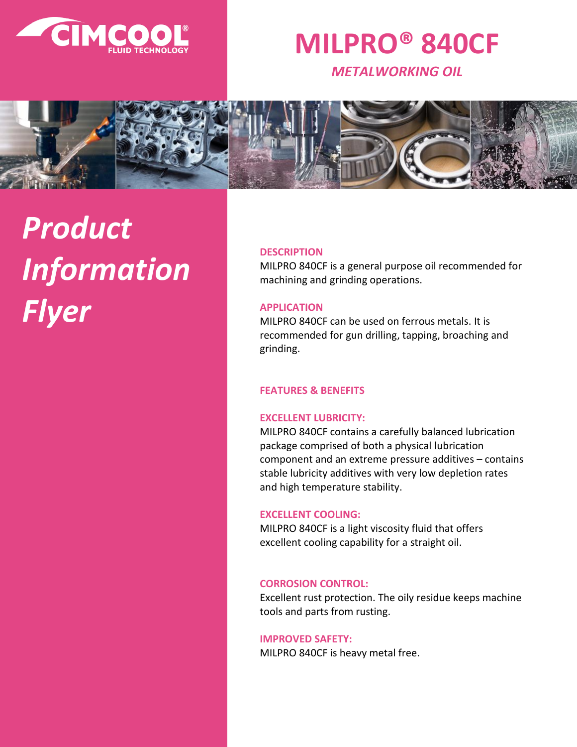

# **MILPRO® 840CF**

*METALWORKING OIL*



# *Product Information Flyer*

#### **DESCRIPTION**

MILPRO 840CF is a general purpose oil recommended for machining and grinding operations.

#### **APPLICATION**

MILPRO 840CF can be used on ferrous metals. It is recommended for gun drilling, tapping, broaching and grinding.

# **FEATURES & BENEFITS**

# **EXCELLENT LUBRICITY:**

MILPRO 840CF contains a carefully balanced lubrication package comprised of both a physical lubrication component and an extreme pressure additives – contains stable lubricity additives with very low depletion rates and high temperature stability.

#### **EXCELLENT COOLING:**

MILPRO 840CF is a light viscosity fluid that offers excellent cooling capability for a straight oil.

# **CORROSION CONTROL:**

Excellent rust protection. The oily residue keeps machine tools and parts from rusting.

#### **IMPROVED SAFETY:**

MILPRO 840CF is heavy metal free.